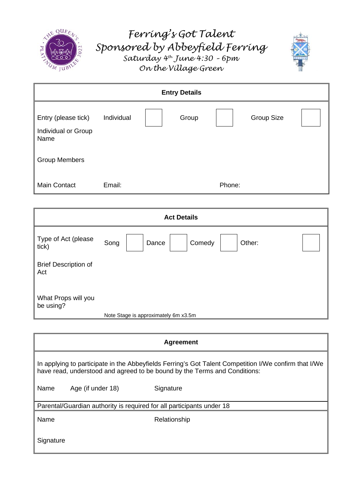

# *Ferring's Got Talent Sponsored by Abbeyfield Ferring Saturday 4th June 4:30 – 6pm On the Village Green*



| <b>Entry Details</b>                               |            |  |       |        |                   |  |
|----------------------------------------------------|------------|--|-------|--------|-------------------|--|
| Entry (please tick)<br>Individual or Group<br>Name | Individual |  | Group |        | <b>Group Size</b> |  |
| <b>Group Members</b>                               |            |  |       |        |                   |  |
| Main Contact                                       | Email:     |  |       | Phone: |                   |  |

| <b>Act Details</b>                 |      |                                      |        |        |  |  |
|------------------------------------|------|--------------------------------------|--------|--------|--|--|
| Type of Act (please<br>tick)       | Song | Dance                                | Comedy | Other: |  |  |
| <b>Brief Description of</b><br>Act |      |                                      |        |        |  |  |
| What Props will you<br>be using?   |      | Note Stage is approximately 6m x3.5m |        |        |  |  |

| <b>Agreement</b>                                                                                                                                                                   |                   |              |  |  |  |  |
|------------------------------------------------------------------------------------------------------------------------------------------------------------------------------------|-------------------|--------------|--|--|--|--|
| In applying to participate in the Abbeyfields Ferring's Got Talent Competition I/We confirm that I/We<br>have read, understood and agreed to be bound by the Terms and Conditions: |                   |              |  |  |  |  |
| Name                                                                                                                                                                               | Age (if under 18) | Signature    |  |  |  |  |
| Parental/Guardian authority is required for all participants under 18                                                                                                              |                   |              |  |  |  |  |
| Name                                                                                                                                                                               |                   | Relationship |  |  |  |  |
| Signature                                                                                                                                                                          |                   |              |  |  |  |  |